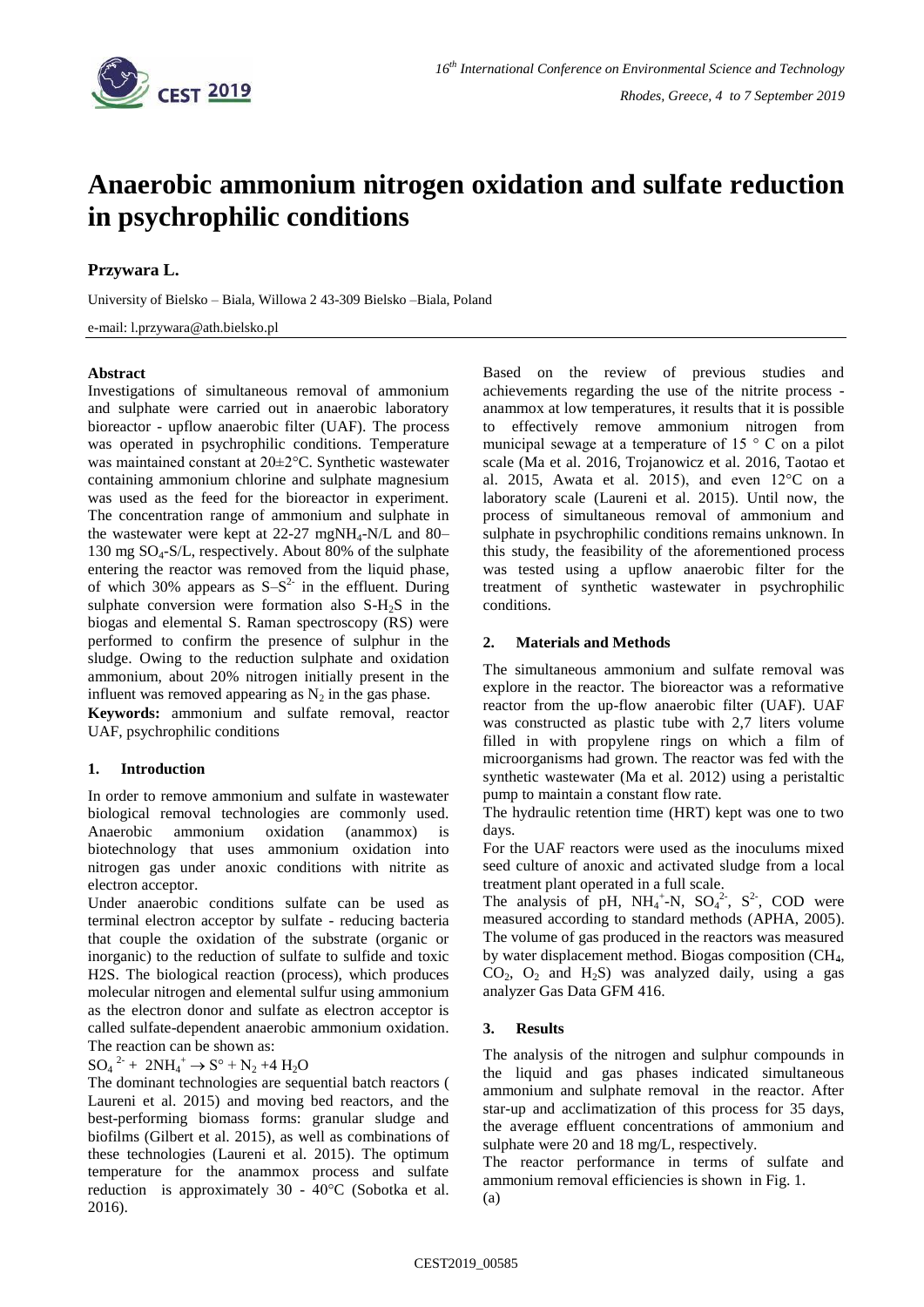

# **Anaerobic ammonium nitrogen oxidation and sulfate reduction in psychrophilic conditions**

# **Przywara L.**

University of Bielsko – Biala, Willowa 2 43-309 Bielsko –Biala, Poland

### e-mail: l.przywara@ath.bielsko.pl

## **Abstract**

Investigations of simultaneous removal of ammonium and sulphate were carried out in anaerobic laboratory bioreactor - upflow anaerobic filter (UAF). The process was operated in psychrophilic conditions. Temperature was maintained constant at 20±2°C. Synthetic wastewater containing ammonium chlorine and sulphate magnesium was used as the feed for the bioreactor in experiment. The concentration range of ammonium and sulphate in the wastewater were kept at  $22-27$  mgNH<sub>4</sub>-N/L and 80– 130 mg  $SO_4$ -S/L, respectively. About 80% of the sulphate entering the reactor was removed from the liquid phase, of which 30% appears as  $S-S<sup>2</sup>$  in the effluent. During sulphate conversion were formation also S-H<sub>2</sub>S in the biogas and elemental S. Raman spectroscopy (RS) were performed to confirm the presence of sulphur in the sludge. Owing to the reduction sulphate and oxidation ammonium, about 20% nitrogen initially present in the influent was removed appearing as  $N_2$  in the gas phase.

**Keywords:** ammonium and sulfate removal, reactor UAF, psychrophilic conditions

## **1. Introduction**

In order to remove ammonium and sulfate in wastewater biological removal technologies are commonly used. Anaerobic ammonium oxidation (anammox) is biotechnology that uses ammonium oxidation into nitrogen gas under anoxic conditions with nitrite as electron acceptor.

Under anaerobic conditions sulfate can be used as terminal electron acceptor by sulfate - reducing bacteria that couple the oxidation of the substrate (organic or inorganic) to the reduction of sulfate to sulfide and toxic H2S. The biological reaction (process), which produces molecular nitrogen and elemental sulfur using ammonium as the electron donor and sulfate as electron acceptor is called sulfate-dependent anaerobic ammonium oxidation. The reaction can be shown as:

# $SO_4^2$  +  $2NH_4^+$   $\rightarrow$   $S^{\circ}$  +  $N_2$  +4  $H_2O$

The dominant technologies are sequential batch reactors ( Laureni et al. 2015) and moving bed reactors, and the best-performing biomass forms: granular sludge and biofilms (Gilbert et al. 2015), as well as combinations of these technologies (Laureni et al. 2015). The optimum temperature for the anammox process and sulfate reduction is approximately 30 - 40°C (Sobotka et al. 2016).

Based on the review of previous studies and achievements regarding the use of the nitrite process anammox at low temperatures, it results that it is possible to effectively remove ammonium nitrogen from municipal sewage at a temperature of 15 ° C on a pilot scale (Ma et al. 2016, Trojanowicz et al. 2016, Taotao et al. 2015, Awata et al. 2015), and even 12°C on a laboratory scale (Laureni et al. 2015). Until now, the process of simultaneous removal of ammonium and sulphate in psychrophilic conditions remains unknown. In this study, the feasibility of the aforementioned process was tested using a upflow anaerobic filter for the treatment of synthetic wastewater in psychrophilic conditions.

## **2. Materials and Methods**

The simultaneous ammonium and sulfate removal was explore in the reactor. The bioreactor was a reformative reactor from the up-flow anaerobic filter (UAF). UAF was constructed as plastic tube with 2,7 liters volume filled in with propylene rings on which a film of microorganisms had grown. The reactor was fed with the synthetic wastewater (Ma et al. 2012) using a peristaltic pump to maintain a constant flow rate.

The hydraulic retention time (HRT) kept was one to two days.

For the UAF reactors were used as the inoculums mixed seed culture of anoxic and activated sludge from a local treatment plant operated in a full scale.

The analysis of pH,  $NH_4^+$ -N,  $SO_4^2$ ,  $S^2$ , COD were measured according to standard methods (APHA, 2005). The volume of gas produced in the reactors was measured by water displacement method. Biogas composition (CH4,  $CO<sub>2</sub>$ ,  $O<sub>2</sub>$  and  $H<sub>2</sub>S$ ) was analyzed daily, using a gas analyzer Gas Data GFM 416.

## **3. Results**

The analysis of the nitrogen and sulphur compounds in the liquid and gas phases indicated simultaneous ammonium and sulphate removal in the reactor. After star-up and acclimatization of this process for 35 days, the average effluent concentrations of ammonium and sulphate were 20 and 18 mg/L, respectively.

The reactor performance in terms of sulfate and ammonium removal efficiencies is shown in Fig. 1.